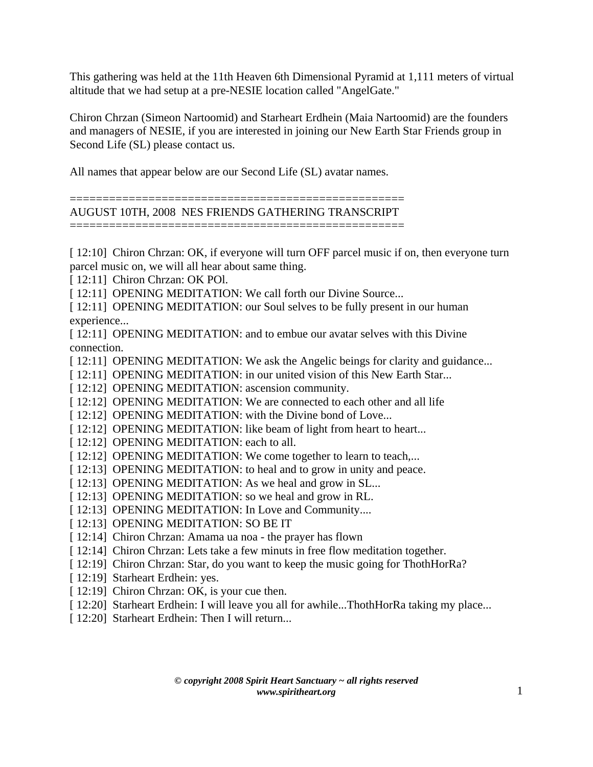This gathering was held at the 11th Heaven 6th Dimensional Pyramid at 1,111 meters of virtual altitude that we had setup at a pre-NESIE location called "AngelGate."

Chiron Chrzan (Simeon Nartoomid) and Starheart Erdhein (Maia Nartoomid) are the founders and managers of NESIE, if you are interested in joining our New Earth Star Friends group in Second Life (SL) please contact us.

All names that appear below are our Second Life (SL) avatar names.

=================================================== AUGUST 10TH, 2008 NES FRIENDS GATHERING TRANSCRIPT ===================================================

[ 12:10] Chiron Chrzan: OK, if everyone will turn OFF parcel music if on, then everyone turn parcel music on, we will all hear about same thing.

[ 12:11] Chiron Chrzan: OK POI.

[ 12:11] OPENING MEDITATION: We call forth our Divine Source...

[ 12:11] OPENING MEDITATION: our Soul selves to be fully present in our human experience...

[ 12:11] OPENING MEDITATION: and to embue our avatar selves with this Divine connection.

- [ 12:11] OPENING MEDITATION: We ask the Angelic beings for clarity and guidance...
- [ 12:11] OPENING MEDITATION: in our united vision of this New Earth Star...
- [ 12:12] OPENING MEDITATION: ascension community.
- [ 12:12] OPENING MEDITATION: We are connected to each other and all life
- [ 12:12] OPENING MEDITATION: with the Divine bond of Love...
- [ 12:12] OPENING MEDITATION: like beam of light from heart to heart...
- [ 12:12] OPENING MEDITATION: each to all.
- [ 12:12] OPENING MEDITATION: We come together to learn to teach,...
- [ 12:13] OPENING MEDITATION: to heal and to grow in unity and peace.
- [12:13] OPENING MEDITATION: As we heal and grow in SL...
- [12:13] OPENING MEDITATION: so we heal and grow in RL.
- [12:13] OPENING MEDITATION: In Love and Community....
- [12:13] OPENING MEDITATION: SO BE IT
- [ 12:14] Chiron Chrzan: Amama ua noa the prayer has flown
- [ 12:14] Chiron Chrzan: Lets take a few minuts in free flow meditation together.
- [ 12:19] Chiron Chrzan: Star, do you want to keep the music going for ThothHorRa?
- [ 12:19] Starheart Erdhein: yes.
- [ 12:19] Chiron Chrzan: OK, is your cue then.
- [ 12:20] Starheart Erdhein: I will leave you all for awhile...ThothHorRa taking my place...
- [ 12:20] Starheart Erdhein: Then I will return...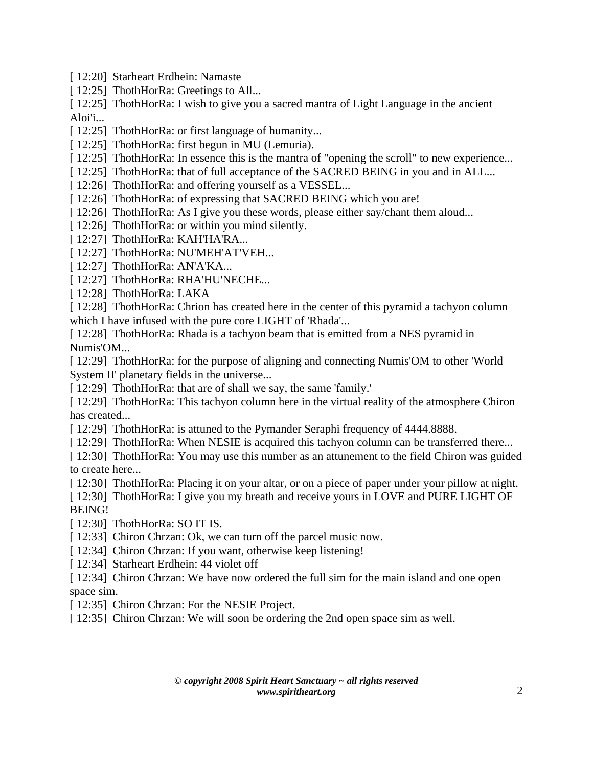- [ 12:20] Starheart Erdhein: Namaste
- [ 12:25] ThothHorRa: Greetings to All...

[ 12:25] ThothHorRa: I wish to give you a sacred mantra of Light Language in the ancient Aloi'i...

- [ 12:25] ThothHorRa: or first language of humanity...
- [ 12:25] ThothHorRa: first begun in MU (Lemuria).
- [ 12:25] ThothHorRa: In essence this is the mantra of "opening the scroll" to new experience...
- [ 12:25] ThothHorRa: that of full acceptance of the SACRED BEING in you and in ALL...
- [ 12:26] ThothHorRa: and offering yourself as a VESSEL...
- [ 12:26] ThothHorRa: of expressing that SACRED BEING which you are!
- [ 12:26] ThothHorRa: As I give you these words, please either say/chant them aloud...
- [ 12:26] ThothHorRa: or within you mind silently.
- [ 12:27] ThothHorRa: KAH'HA'RA...
- [ 12:27] ThothHorRa: NU'MEH'AT'VEH...
- [ 12:27] ThothHorRa: AN'A'KA...
- [ 12:27] ThothHorRa: RHA'HU'NECHE...
- [12:28] ThothHorRa: LAKA

[ 12:28] ThothHorRa: Chrion has created here in the center of this pyramid a tachyon column which I have infused with the pure core LIGHT of 'Rhada'...

[ 12:28] ThothHorRa: Rhada is a tachyon beam that is emitted from a NES pyramid in Numis'OM...

- [ 12:29] ThothHorRa: for the purpose of aligning and connecting Numis'OM to other 'World System II' planetary fields in the universe...
- [ 12:29] ThothHorRa: that are of shall we say, the same 'family.'

[ 12:29] ThothHorRa: This tachyon column here in the virtual reality of the atmosphere Chiron has created...

- [ 12:29] ThothHorRa: is attuned to the Pymander Seraphi frequency of 4444.8888.
- [ 12:29] ThothHorRa: When NESIE is acquired this tachyon column can be transferred there...
- [ 12:30] ThothHorRa: You may use this number as an attunement to the field Chiron was guided to create here...
- [ 12:30] ThothHorRa: Placing it on your altar, or on a piece of paper under your pillow at night.
- [ 12:30] ThothHorRa: I give you my breath and receive yours in LOVE and PURE LIGHT OF BEING!
- [ 12:30] ThothHorRa: SO IT IS.
- [ 12:33] Chiron Chrzan: Ok, we can turn off the parcel music now.
- [ 12:34] Chiron Chrzan: If you want, otherwise keep listening!
- [ 12:34] Starheart Erdhein: 44 violet off
- [ 12:34] Chiron Chrzan: We have now ordered the full sim for the main island and one open space sim.
- [ 12:35] Chiron Chrzan: For the NESIE Project.
- [ 12:35] Chiron Chrzan: We will soon be ordering the 2nd open space sim as well.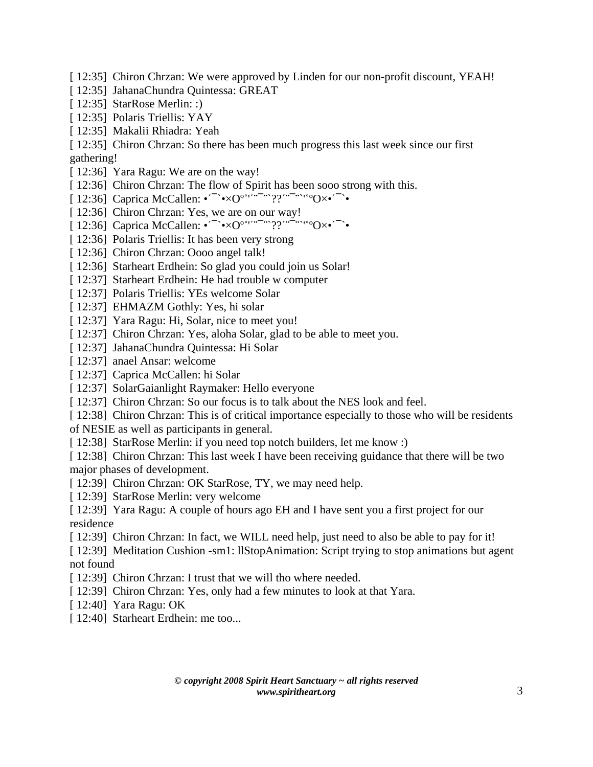- [ 12:35] Chiron Chrzan: We were approved by Linden for our non-profit discount, YEAH!
- [ 12:35] JahanaChundra Quintessa: GREAT
- [ 12:35] StarRose Merlin: :)
- [ 12:35] Polaris Triellis: YAY
- [ 12:35] Makalii Rhiadra: Yeah

[ 12:35] Chiron Chrzan: So there has been much progress this last week since our first gathering!

- [ 12:36] Yara Ragu: We are on the way!
- [ 12:36] Chiron Chrzan: The flow of Spirit has been sooo strong with this.
- [ 12:36] Caprica McCallen: •'6`•×Oº/''(6(`??'(6(`'/ºOו'6`•
- [ 12:36] Chiron Chrzan: Yes, we are on our way!
- [ 12:36] Caprica McCallen:  $\cdot^{\sim}$   $\cdot \times$  $O^{\circ}$ <sup>'''</sup>( $\cdot$ <sup>''</sup>)<sup>2''</sup>( $\cdot$ <sup>''</sup>)<sup>2</sup>'<sup>'</sup>
- [ 12:36] Polaris Triellis: It has been very strong
- [ 12:36] Chiron Chrzan: Oooo angel talk!
- [ 12:36] Starheart Erdhein: So glad you could join us Solar!
- [ 12:37] Starheart Erdhein: He had trouble w computer
- [ 12:37] Polaris Triellis: YEs welcome Solar
- [ 12:37] EHMAZM Gothly: Yes, hi solar
- [ 12:37] Yara Ragu: Hi, Solar, nice to meet you!
- [ 12:37] Chiron Chrzan: Yes, aloha Solar, glad to be able to meet you.
- [ 12:37] JahanaChundra Quintessa: Hi Solar
- [ 12:37] anael Ansar: welcome
- [ 12:37] Caprica McCallen: hi Solar
- [ 12:37] SolarGaianlight Raymaker: Hello everyone
- [ 12:37] Chiron Chrzan: So our focus is to talk about the NES look and feel.
- [ 12:38] Chiron Chrzan: This is of critical importance especially to those who will be residents

of NESIE as well as participants in general.

- [ 12:38] StarRose Merlin: if you need top notch builders, let me know :)
- [ 12:38] Chiron Chrzan: This last week I have been receiving guidance that there will be two major phases of development.
- [ 12:39] Chiron Chrzan: OK StarRose, TY, we may need help.
- [ 12:39] StarRose Merlin: very welcome
- [ 12:39] Yara Ragu: A couple of hours ago EH and I have sent you a first project for our residence
- [ 12:39] Chiron Chrzan: In fact, we WILL need help, just need to also be able to pay for it!
- [ 12:39] Meditation Cushion -sm1: llStopAnimation: Script trying to stop animations but agent not found
- [ 12:39] Chiron Chrzan: I trust that we will tho where needed.
- [ 12:39] Chiron Chrzan: Yes, only had a few minutes to look at that Yara.
- [ 12:40] Yara Ragu: OK
- [ 12:40] Starheart Erdhein: me too...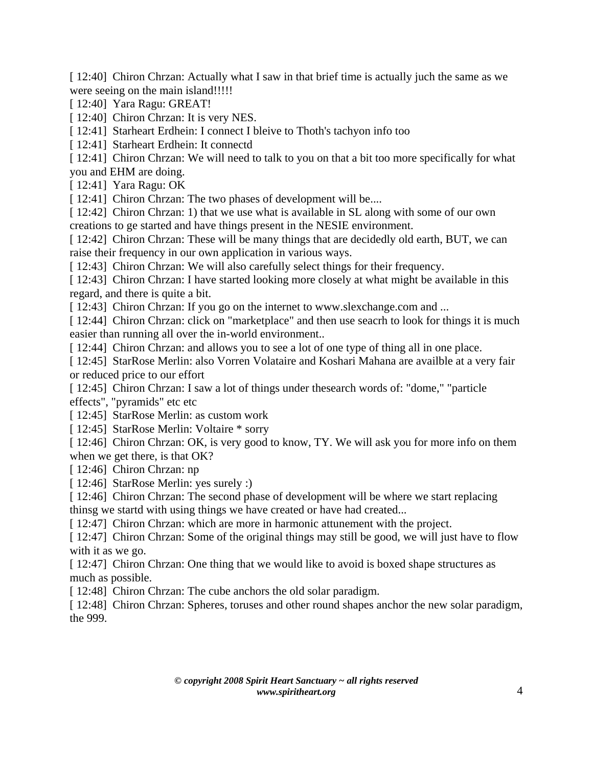[ 12:40] Chiron Chrzan: Actually what I saw in that brief time is actually juch the same as we were seeing on the main island!!!!!

[ 12:40] Yara Ragu: GREAT!

[ 12:40] Chiron Chrzan: It is very NES.

[ 12:41] Starheart Erdhein: I connect I bleive to Thoth's tachyon info too

[ 12:41] Starheart Erdhein: It connectd

[ 12:41] Chiron Chrzan: We will need to talk to you on that a bit too more specifically for what

you and EHM are doing.

[ 12:41] Yara Ragu: OK

[ 12:41] Chiron Chrzan: The two phases of development will be....

[ 12:42] Chiron Chrzan: 1) that we use what is available in SL along with some of our own creations to ge started and have things present in the NESIE environment.

[ 12:42] Chiron Chrzan: These will be many things that are decidedly old earth, BUT, we can raise their frequency in our own application in various ways.

[ 12:43] Chiron Chrzan: We will also carefully select things for their frequency.

[ 12:43] Chiron Chrzan: I have started looking more closely at what might be available in this regard, and there is quite a bit.

[ 12:43] Chiron Chrzan: If you go on the internet to www.slexchange.com and ...

[ 12:44] Chiron Chrzan: click on "marketplace" and then use seacrh to look for things it is much easier than running all over the in-world environment..

[ 12:44] Chiron Chrzan: and allows you to see a lot of one type of thing all in one place.

[ 12:45] StarRose Merlin: also Vorren Volataire and Koshari Mahana are availble at a very fair or reduced price to our effort

[ 12:45] Chiron Chrzan: I saw a lot of things under thesearch words of: "dome," "particle effects", "pyramids" etc etc

[ 12:45] StarRose Merlin: as custom work

[ 12:45] StarRose Merlin: Voltaire \* sorry

[ 12:46] Chiron Chrzan: OK, is very good to know, TY. We will ask you for more info on them when we get there, is that OK?

[ 12:46] Chiron Chrzan: np

[ 12:46] StarRose Merlin: yes surely :)

[ 12:46] Chiron Chrzan: The second phase of development will be where we start replacing

thinsg we startd with using things we have created or have had created...

[ 12:47] Chiron Chrzan: which are more in harmonic attunement with the project.

[ 12:47] Chiron Chrzan: Some of the original things may still be good, we will just have to flow with it as we go.

[ 12:47] Chiron Chrzan: One thing that we would like to avoid is boxed shape structures as much as possible.

[ 12:48] Chiron Chrzan: The cube anchors the old solar paradigm.

[ 12:48] Chiron Chrzan: Spheres, toruses and other round shapes anchor the new solar paradigm, the 999.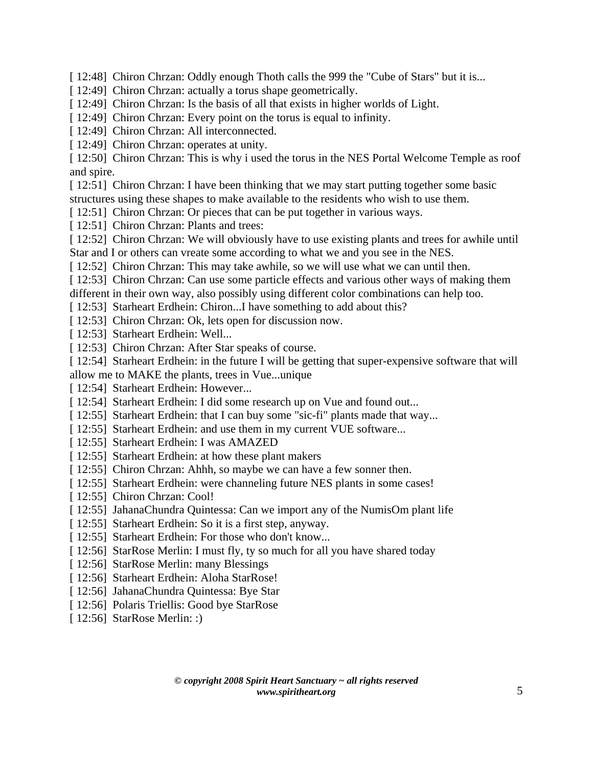[ 12:48] Chiron Chrzan: Oddly enough Thoth calls the 999 the "Cube of Stars" but it is...

- [ 12:49] Chiron Chrzan: actually a torus shape geometrically.
- [ 12:49] Chiron Chrzan: Is the basis of all that exists in higher worlds of Light.
- [ 12:49] Chiron Chrzan: Every point on the torus is equal to infinity.
- [ 12:49] Chiron Chrzan: All interconnected.
- [ 12:49] Chiron Chrzan: operates at unity.

[ 12:50] Chiron Chrzan: This is why i used the torus in the NES Portal Welcome Temple as roof and spire.

[ 12:51] Chiron Chrzan: I have been thinking that we may start putting together some basic structures using these shapes to make available to the residents who wish to use them.

- [ 12:51] Chiron Chrzan: Or pieces that can be put together in various ways.
- [ 12:51] Chiron Chrzan: Plants and trees:
- [ 12:52] Chiron Chrzan: We will obviously have to use existing plants and trees for awhile until Star and I or others can vreate some according to what we and you see in the NES.
- [ 12:52] Chiron Chrzan: This may take awhile, so we will use what we can until then.
- [ 12:53] Chiron Chrzan: Can use some particle effects and various other ways of making them
- different in their own way, also possibly using different color combinations can help too.
- [ 12:53] Starheart Erdhein: Chiron...I have something to add about this?
- [ 12:53] Chiron Chrzan: Ok, lets open for discussion now.
- [ 12:53] Starheart Erdhein: Well...
- [ 12:53] Chiron Chrzan: After Star speaks of course.
- [ 12:54] Starheart Erdhein: in the future I will be getting that super-expensive software that will allow me to MAKE the plants, trees in Vue...unique
- [ 12:54] Starheart Erdhein: However...
- [ 12:54] Starheart Erdhein: I did some research up on Vue and found out...
- [ 12:55] Starheart Erdhein: that I can buy some "sic-fi" plants made that way...
- [ 12:55] Starheart Erdhein: and use them in my current VUE software...
- [ 12:55] Starheart Erdhein: I was AMAZED
- [ 12:55] Starheart Erdhein: at how these plant makers
- [ 12:55] Chiron Chrzan: Ahhh, so maybe we can have a few sonner then.
- [ 12:55] Starheart Erdhein: were channeling future NES plants in some cases!
- [ 12:55] Chiron Chrzan: Cool!
- [ 12:55] JahanaChundra Quintessa: Can we import any of the NumisOm plant life
- [ 12:55] Starheart Erdhein: So it is a first step, anyway.
- [ 12:55] Starheart Erdhein: For those who don't know...
- [ 12:56] StarRose Merlin: I must fly, ty so much for all you have shared today
- [ 12:56] StarRose Merlin: many Blessings
- [ 12:56] Starheart Erdhein: Aloha StarRose!
- [ 12:56] JahanaChundra Quintessa: Bye Star
- [ 12:56] Polaris Triellis: Good bye StarRose
- [ 12:56] StarRose Merlin: :)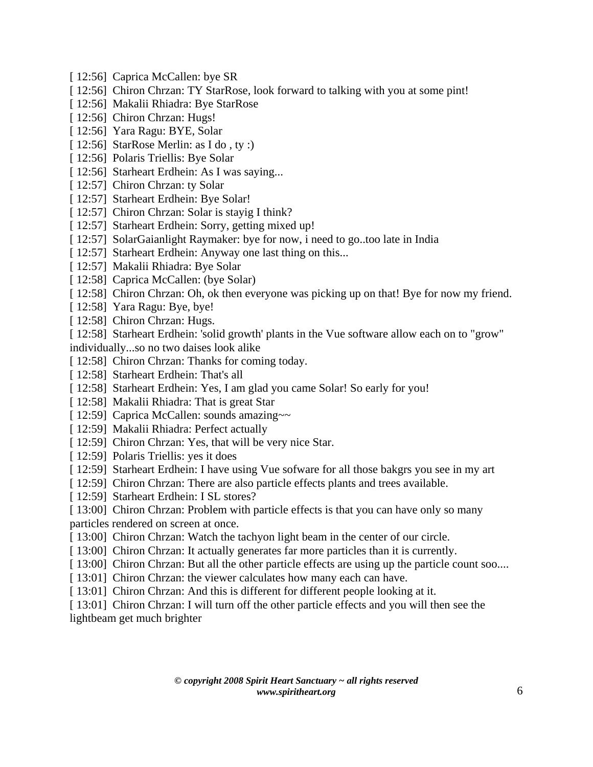- [ 12:56] Caprica McCallen: bye SR
- [ 12:56] Chiron Chrzan: TY StarRose, look forward to talking with you at some pint!
- [ 12:56] Makalii Rhiadra: Bye StarRose
- [ 12:56] Chiron Chrzan: Hugs!
- [ 12:56] Yara Ragu: BYE, Solar
- [ 12:56] StarRose Merlin: as I do, ty :)
- [ 12:56] Polaris Triellis: Bye Solar
- [ 12:56] Starheart Erdhein: As I was saying...
- [ 12:57] Chiron Chrzan: ty Solar
- [ 12:57] Starheart Erdhein: Bye Solar!
- [ 12:57] Chiron Chrzan: Solar is stayig I think?
- [ 12:57] Starheart Erdhein: Sorry, getting mixed up!
- [ 12:57] SolarGaianlight Raymaker: bye for now, i need to go..too late in India
- [ 12:57] Starheart Erdhein: Anyway one last thing on this...
- [ 12:57] Makalii Rhiadra: Bye Solar
- [ 12:58] Caprica McCallen: (bye Solar)
- [ 12:58] Chiron Chrzan: Oh, ok then everyone was picking up on that! Bye for now my friend.
- [ 12:58] Yara Ragu: Bye, bye!
- [ 12:58] Chiron Chrzan: Hugs.
- [ 12:58] Starheart Erdhein: 'solid growth' plants in the Vue software allow each on to "grow"
- individually...so no two daises look alike
- [ 12:58] Chiron Chrzan: Thanks for coming today.
- [ 12:58] Starheart Erdhein: That's all
- [ 12:58] Starheart Erdhein: Yes, I am glad you came Solar! So early for you!
- [ 12:58] Makalii Rhiadra: That is great Star
- [ 12:59] Caprica McCallen: sounds amazing~~
- [ 12:59] Makalii Rhiadra: Perfect actually
- [ 12:59] Chiron Chrzan: Yes, that will be very nice Star.
- [ 12:59] Polaris Triellis: yes it does
- [ 12:59] Starheart Erdhein: I have using Vue sofware for all those bakgrs you see in my art
- [ 12:59] Chiron Chrzan: There are also particle effects plants and trees available.
- [ 12:59] Starheart Erdhein: I SL stores?
- [ 13:00] Chiron Chrzan: Problem with particle effects is that you can have only so many
- particles rendered on screen at once.
- [ 13:00] Chiron Chrzan: Watch the tachyon light beam in the center of our circle.
- [ 13:00] Chiron Chrzan: It actually generates far more particles than it is currently.
- [ 13:00] Chiron Chrzan: But all the other particle effects are using up the particle count soo....
- [ 13:01] Chiron Chrzan: the viewer calculates how many each can have.
- [ 13:01] Chiron Chrzan: And this is different for different people looking at it.

[ 13:01] Chiron Chrzan: I will turn off the other particle effects and you will then see the lightbeam get much brighter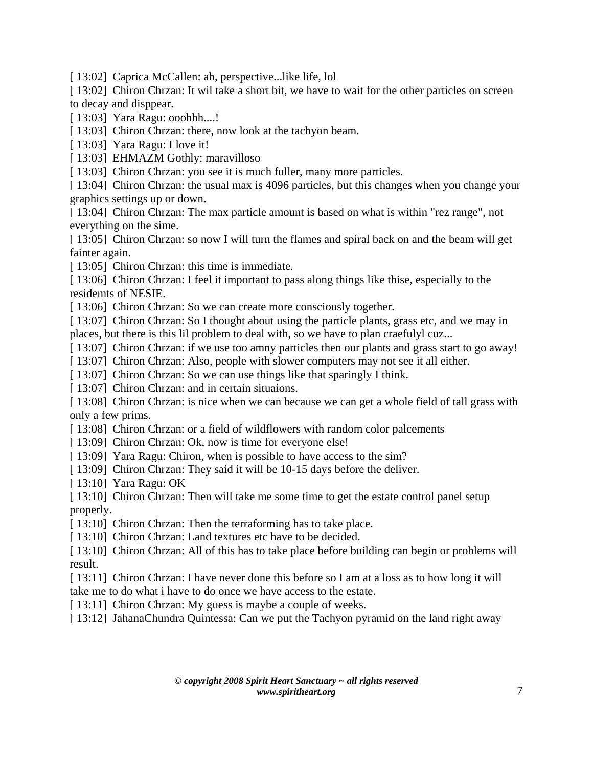[ 13:02] Caprica McCallen: ah, perspective...like life, lol

[ 13:02] Chiron Chrzan: It wil take a short bit, we have to wait for the other particles on screen to decay and disppear.

[ 13:03] Yara Ragu: ooohhh....!

[ 13:03] Chiron Chrzan: there, now look at the tachyon beam.

[ 13:03] Yara Ragu: I love it!

[ 13:03] EHMAZM Gothly: maravilloso

[ 13:03] Chiron Chrzan: you see it is much fuller, many more particles.

[ 13:04] Chiron Chrzan: the usual max is 4096 particles, but this changes when you change your graphics settings up or down.

[ 13:04] Chiron Chrzan: The max particle amount is based on what is within "rez range", not everything on the sime.

[ 13:05] Chiron Chrzan: so now I will turn the flames and spiral back on and the beam will get fainter again.

[ 13:05] Chiron Chrzan: this time is immediate.

[ 13:06] Chiron Chrzan: I feel it important to pass along things like thise, especially to the residemts of NESIE.

[ 13:06] Chiron Chrzan: So we can create more consciously together.

[ 13:07] Chiron Chrzan: So I thought about using the particle plants, grass etc, and we may in places, but there is this lil problem to deal with, so we have to plan craefulyl cuz...

[ 13:07] Chiron Chrzan: if we use too amny particles then our plants and grass start to go away!

[ 13:07] Chiron Chrzan: Also, people with slower computers may not see it all either.

[ 13:07] Chiron Chrzan: So we can use things like that sparingly I think.

[ 13:07] Chiron Chrzan: and in certain situaions.

[ 13:08] Chiron Chrzan: is nice when we can because we can get a whole field of tall grass with only a few prims.

[ 13:08] Chiron Chrzan: or a field of wildflowers with random color palcements

[ 13:09] Chiron Chrzan: Ok, now is time for everyone else!

[ 13:09] Yara Ragu: Chiron, when is possible to have access to the sim?

[ 13:09] Chiron Chrzan: They said it will be 10-15 days before the deliver.

[ 13:10] Yara Ragu: OK

[ 13:10] Chiron Chrzan: Then will take me some time to get the estate control panel setup properly.

[ 13:10] Chiron Chrzan: Then the terraforming has to take place.

[ 13:10] Chiron Chrzan: Land textures etc have to be decided.

[ 13:10] Chiron Chrzan: All of this has to take place before building can begin or problems will result.

[ 13:11] Chiron Chrzan: I have never done this before so I am at a loss as to how long it will take me to do what i have to do once we have access to the estate.

[ 13:11] Chiron Chrzan: My guess is maybe a couple of weeks.

[ 13:12] JahanaChundra Quintessa: Can we put the Tachyon pyramid on the land right away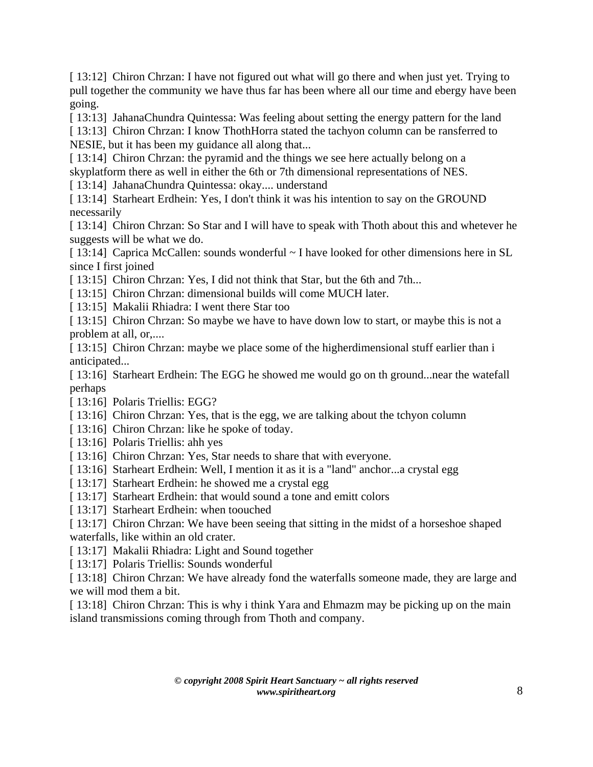[ 13:12] Chiron Chrzan: I have not figured out what will go there and when just yet. Trying to pull together the community we have thus far has been where all our time and ebergy have been going.

[ 13:13] JahanaChundra Quintessa: Was feeling about setting the energy pattern for the land

[ 13:13] Chiron Chrzan: I know ThothHorra stated the tachyon column can be ransferred to NESIE, but it has been my guidance all along that...

[ 13:14] Chiron Chrzan: the pyramid and the things we see here actually belong on a

skyplatform there as well in either the 6th or 7th dimensional representations of NES.

[ 13:14] JahanaChundra Quintessa: okay.... understand

[ 13:14] Starheart Erdhein: Yes, I don't think it was his intention to say on the GROUND necessarily

[ 13:14] Chiron Chrzan: So Star and I will have to speak with Thoth about this and whetever he suggests will be what we do.

[ 13:14] Caprica McCallen: sounds wonderful ~ I have looked for other dimensions here in SL since I first joined

[ 13:15] Chiron Chrzan: Yes, I did not think that Star, but the 6th and 7th...

[ 13:15] Chiron Chrzan: dimensional builds will come MUCH later.

[ 13:15] Makalii Rhiadra: I went there Star too

[ 13:15] Chiron Chrzan: So maybe we have to have down low to start, or maybe this is not a problem at all, or,....

[ 13:15] Chiron Chrzan: maybe we place some of the higherdimensional stuff earlier than i anticipated...

[ 13:16] Starheart Erdhein: The EGG he showed me would go on th ground... near the watefall perhaps

[ 13:16] Polaris Triellis: EGG?

[ 13:16] Chiron Chrzan: Yes, that is the egg, we are talking about the tchyon column

- [ 13:16] Chiron Chrzan: like he spoke of today.
- [ 13:16] Polaris Triellis: ahh yes
- [ 13:16] Chiron Chrzan: Yes, Star needs to share that with everyone.
- [ 13:16] Starheart Erdhein: Well, I mention it as it is a "land" anchor...a crystal egg
- [ 13:17] Starheart Erdhein: he showed me a crystal egg
- [ 13:17] Starheart Erdhein: that would sound a tone and emitt colors
- [ 13:17] Starheart Erdhein: when toouched

[ 13:17] Chiron Chrzan: We have been seeing that sitting in the midst of a horseshoe shaped waterfalls, like within an old crater.

[ 13:17] Makalii Rhiadra: Light and Sound together

[ 13:17] Polaris Triellis: Sounds wonderful

[ 13:18] Chiron Chrzan: We have already fond the waterfalls someone made, they are large and we will mod them a bit.

[ 13:18] Chiron Chrzan: This is why i think Yara and Ehmazm may be picking up on the main island transmissions coming through from Thoth and company.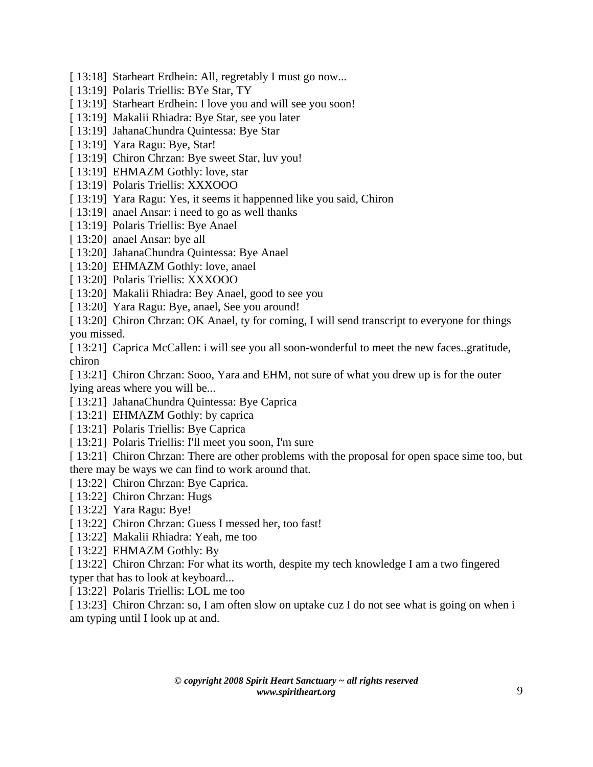- [ 13:18] Starheart Erdhein: All, regretably I must go now...
- [ 13:19] Polaris Triellis: BYe Star, TY
- [ 13:19] Starheart Erdhein: I love you and will see you soon!
- [ 13:19] Makalii Rhiadra: Bye Star, see you later
- [ 13:19] JahanaChundra Quintessa: Bye Star
- [ 13:19] Yara Ragu: Bye, Star!
- [ 13:19] Chiron Chrzan: Bye sweet Star, luv you!
- [ 13:19] EHMAZM Gothly: love, star
- [ 13:19] Polaris Triellis: XXXOOO
- [ 13:19] Yara Ragu: Yes, it seems it happenned like you said, Chiron
- [13:19] anael Ansar: i need to go as well thanks
- [ 13:19] Polaris Triellis: Bye Anael
- [ 13:20] anael Ansar: bye all
- [ 13:20] JahanaChundra Quintessa: Bye Anael
- [ 13:20] EHMAZM Gothly: love, anael
- [ 13:20] Polaris Triellis: XXXOOO
- [ 13:20] Makalii Rhiadra: Bey Anael, good to see you
- [ 13:20] Yara Ragu: Bye, anael, See you around!
- [ 13:20] Chiron Chrzan: OK Anael, ty for coming, I will send transcript to everyone for things you missed.
- [ 13:21] Caprica McCallen: i will see you all soon-wonderful to meet the new faces..gratitude, chiron

[ 13:21] Chiron Chrzan: Sooo, Yara and EHM, not sure of what you drew up is for the outer lying areas where you will be...

- [ 13:21] JahanaChundra Quintessa: Bye Caprica
- [ 13:21] EHMAZM Gothly: by caprica
- [ 13:21] Polaris Triellis: Bye Caprica
- [ 13:21] Polaris Triellis: I'll meet you soon, I'm sure
- [ 13:21] Chiron Chrzan: There are other problems with the proposal for open space sime too, but there may be ways we can find to work around that.
- [ 13:22] Chiron Chrzan: Bye Caprica.
- [ 13:22] Chiron Chrzan: Hugs
- [ 13:22] Yara Ragu: Bye!
- [ 13:22] Chiron Chrzan: Guess I messed her, too fast!
- [ 13:22] Makalii Rhiadra: Yeah, me too
- [ 13:22] EHMAZM Gothly: By
- [ 13:22] Chiron Chrzan: For what its worth, despite my tech knowledge I am a two fingered typer that has to look at keyboard...
- [ 13:22] Polaris Triellis: LOL me too
- [ 13:23] Chiron Chrzan: so, I am often slow on uptake cuz I do not see what is going on when i am typing until I look up at and.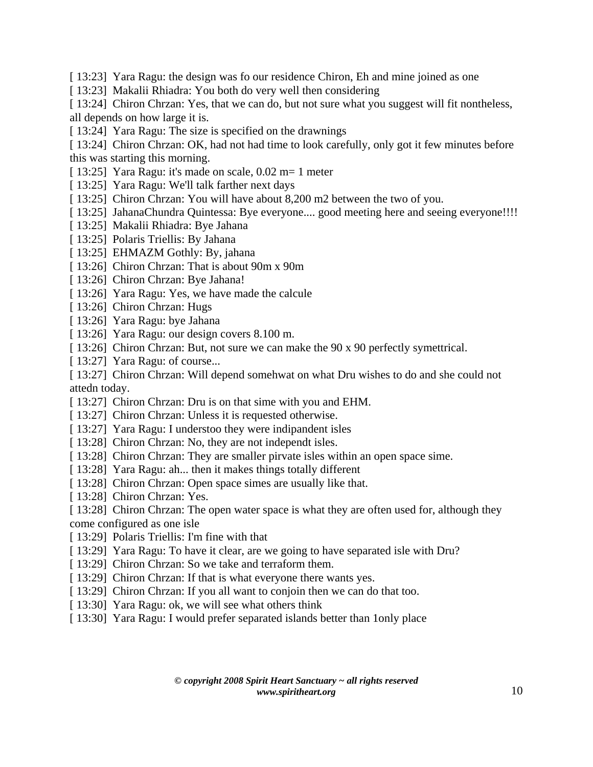- [ 13:23] Yara Ragu: the design was fo our residence Chiron, Eh and mine joined as one
- [ 13:23] Makalii Rhiadra: You both do very well then considering

[ 13:24] Chiron Chrzan: Yes, that we can do, but not sure what you suggest will fit nontheless, all depends on how large it is.

- [ 13:24] Yara Ragu: The size is specified on the drawnings
- [ 13:24] Chiron Chrzan: OK, had not had time to look carefully, only got it few minutes before this was starting this morning.
- [ 13:25] Yara Ragu: it's made on scale, 0.02 m= 1 meter
- [ 13:25] Yara Ragu: We'll talk farther next days
- [ 13:25] Chiron Chrzan: You will have about 8,200 m2 between the two of you.
- [ 13:25] JahanaChundra Quintessa: Bye everyone.... good meeting here and seeing everyone!!!!
- [ 13:25] Makalii Rhiadra: Bye Jahana
- [ 13:25] Polaris Triellis: By Jahana
- [ 13:25] EHMAZM Gothly: By, jahana
- [ 13:26] Chiron Chrzan: That is about 90m x 90m
- [ 13:26] Chiron Chrzan: Bye Jahana!
- [ 13:26] Yara Ragu: Yes, we have made the calcule
- [ 13:26] Chiron Chrzan: Hugs
- [ 13:26] Yara Ragu: bye Jahana
- [ 13:26] Yara Ragu: our design covers 8.100 m.
- [ 13:26] Chiron Chrzan: But, not sure we can make the 90 x 90 perfectly symettrical.
- [ 13:27] Yara Ragu: of course...

[ 13:27] Chiron Chrzan: Will depend somehwat on what Dru wishes to do and she could not attedn today.

- [ 13:27] Chiron Chrzan: Dru is on that sime with you and EHM.
- [ 13:27] Chiron Chrzan: Unless it is requested otherwise.
- [ 13:27] Yara Ragu: I understoo they were indipandent isles
- [ 13:28] Chiron Chrzan: No, they are not independt isles.
- [ 13:28] Chiron Chrzan: They are smaller pirvate isles within an open space sime.
- [ 13:28] Yara Ragu: ah... then it makes things totally different
- [ 13:28] Chiron Chrzan: Open space simes are usually like that.
- [ 13:28] Chiron Chrzan: Yes.
- [ 13:28] Chiron Chrzan: The open water space is what they are often used for, although they come configured as one isle
- [ 13:29] Polaris Triellis: I'm fine with that
- [ 13:29] Yara Ragu: To have it clear, are we going to have separated isle with Dru?
- [ 13:29] Chiron Chrzan: So we take and terraform them.
- [ 13:29] Chiron Chrzan: If that is what everyone there wants yes.
- [ 13:29] Chiron Chrzan: If you all want to conjoin then we can do that too.
- [ 13:30] Yara Ragu: ok, we will see what others think
- [ 13:30] Yara Ragu: I would prefer separated islands better than 1 only place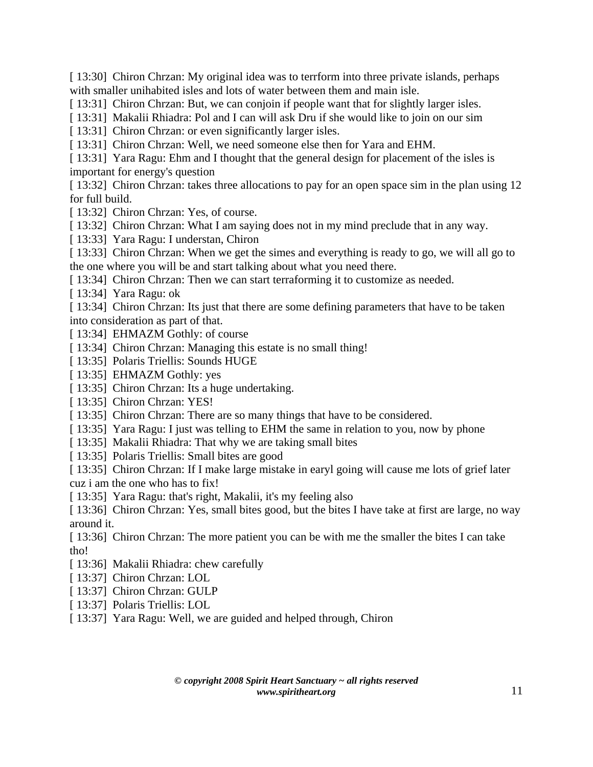[ 13:30] Chiron Chrzan: My original idea was to terrform into three private islands, perhaps with smaller unihabited isles and lots of water between them and main isle.

[ 13:31] Chiron Chrzan: But, we can conjoin if people want that for slightly larger isles.

[ 13:31] Makalii Rhiadra: Pol and I can will ask Dru if she would like to join on our sim

[ 13:31] Chiron Chrzan: or even significantly larger isles.

[ 13:31] Chiron Chrzan: Well, we need someone else then for Yara and EHM.

[ 13:31] Yara Ragu: Ehm and I thought that the general design for placement of the isles is important for energy's question

[ 13:32] Chiron Chrzan: takes three allocations to pay for an open space sim in the plan using 12 for full build.

[ 13:32] Chiron Chrzan: Yes, of course.

[ 13:32] Chiron Chrzan: What I am saying does not in my mind preclude that in any way.

[ 13:33] Yara Ragu: I understan, Chiron

[ 13:33] Chiron Chrzan: When we get the simes and everything is ready to go, we will all go to the one where you will be and start talking about what you need there.

[ 13:34] Chiron Chrzan: Then we can start terraforming it to customize as needed.

[ 13:34] Yara Ragu: ok

[ 13:34] Chiron Chrzan: Its just that there are some defining parameters that have to be taken into consideration as part of that.

[13:34] EHMAZM Gothly: of course

[ 13:34] Chiron Chrzan: Managing this estate is no small thing!

[ 13:35] Polaris Triellis: Sounds HUGE

[ 13:35] EHMAZM Gothly: yes

[ 13:35] Chiron Chrzan: Its a huge undertaking.

[ 13:35] Chiron Chrzan: YES!

[ 13:35] Chiron Chrzan: There are so many things that have to be considered.

[ 13:35] Yara Ragu: I just was telling to EHM the same in relation to you, now by phone

[ 13:35] Makalii Rhiadra: That why we are taking small bites

[ 13:35] Polaris Triellis: Small bites are good

[ 13:35] Chiron Chrzan: If I make large mistake in earyl going will cause me lots of grief later cuz i am the one who has to fix!

[ 13:35] Yara Ragu: that's right, Makalii, it's my feeling also

[ 13:36] Chiron Chrzan: Yes, small bites good, but the bites I have take at first are large, no way around it.

[ 13:36] Chiron Chrzan: The more patient you can be with me the smaller the bites I can take tho!

[ 13:36] Makalii Rhiadra: chew carefully

[ 13:37] Chiron Chrzan: LOL

[ 13:37] Chiron Chrzan: GULP

[ 13:37] Polaris Triellis: LOL

[ 13:37] Yara Ragu: Well, we are guided and helped through, Chiron

*© copyright 2008 Spirit Heart Sanctuary ~ all rights reserved www.spiritheart.org* 11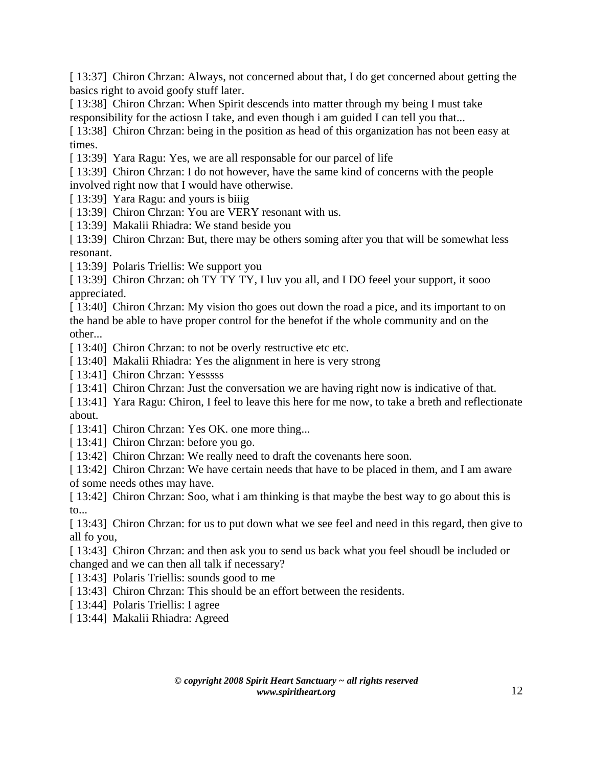[ 13:37] Chiron Chrzan: Always, not concerned about that, I do get concerned about getting the basics right to avoid goofy stuff later.

[ 13:38] Chiron Chrzan: When Spirit descends into matter through my being I must take responsibility for the actiosn I take, and even though i am guided I can tell you that...

[ 13:38] Chiron Chrzan: being in the position as head of this organization has not been easy at times.

[13:39] Yara Ragu: Yes, we are all responsable for our parcel of life

[ 13:39] Chiron Chrzan: I do not however, have the same kind of concerns with the people involved right now that I would have otherwise.

[ 13:39] Yara Ragu: and yours is biiig

[ 13:39] Chiron Chrzan: You are VERY resonant with us.

[ 13:39] Makalii Rhiadra: We stand beside you

[ 13:39] Chiron Chrzan: But, there may be others soming after you that will be somewhat less resonant.

[ 13:39] Polaris Triellis: We support you

[ 13:39] Chiron Chrzan: oh TY TY TY, I luv you all, and I DO feeel your support, it sooo appreciated.

[ 13:40] Chiron Chrzan: My vision tho goes out down the road a pice, and its important to on the hand be able to have proper control for the benefot if the whole community and on the other...

[ 13:40] Chiron Chrzan: to not be overly restructive etc etc.

[ 13:40] Makalii Rhiadra: Yes the alignment in here is very strong

[ 13:41] Chiron Chrzan: Yesssss

[ 13:41] Chiron Chrzan: Just the conversation we are having right now is indicative of that.

[ 13:41] Yara Ragu: Chiron, I feel to leave this here for me now, to take a breth and reflectionate about.

[ 13:41] Chiron Chrzan: Yes OK. one more thing...

[ 13:41] Chiron Chrzan: before you go.

[ 13:42] Chiron Chrzan: We really need to draft the covenants here soon.

[ 13:42] Chiron Chrzan: We have certain needs that have to be placed in them, and I am aware of some needs othes may have.

[ 13:42] Chiron Chrzan: Soo, what i am thinking is that maybe the best way to go about this is to...

[ 13:43] Chiron Chrzan: for us to put down what we see feel and need in this regard, then give to all fo you,

[ 13:43] Chiron Chrzan: and then ask you to send us back what you feel shoudl be included or changed and we can then all talk if necessary?

[ 13:43] Polaris Triellis: sounds good to me

[ 13:43] Chiron Chrzan: This should be an effort between the residents.

[ 13:44] Polaris Triellis: I agree

[ 13:44] Makalii Rhiadra: Agreed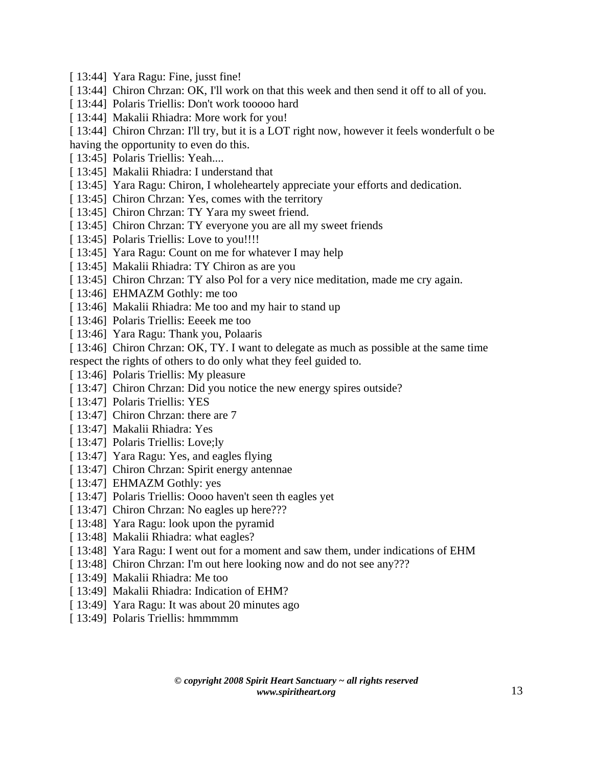- [ 13:44] Yara Ragu: Fine, jusst fine!
- [ 13:44] Chiron Chrzan: OK, I'll work on that this week and then send it off to all of you.
- [ 13:44] Polaris Triellis: Don't work tooooo hard
- [ 13:44] Makalii Rhiadra: More work for you!

[ 13:44] Chiron Chrzan: I'll try, but it is a LOT right now, however it feels wonderfult o be having the opportunity to even do this.

- [ 13:45] Polaris Triellis: Yeah....
- [ 13:45] Makalii Rhiadra: I understand that
- [ 13:45] Yara Ragu: Chiron, I wholeheartely appreciate your efforts and dedication.
- [ 13:45] Chiron Chrzan: Yes, comes with the territory
- [ 13:45] Chiron Chrzan: TY Yara my sweet friend.
- [ 13:45] Chiron Chrzan: TY everyone you are all my sweet friends
- [ 13:45] Polaris Triellis: Love to you!!!!
- [ 13:45] Yara Ragu: Count on me for whatever I may help
- [ 13:45] Makalii Rhiadra: TY Chiron as are you
- [ 13:45] Chiron Chrzan: TY also Pol for a very nice meditation, made me cry again.
- [ 13:46] EHMAZM Gothly: me too
- [ 13:46] Makalii Rhiadra: Me too and my hair to stand up
- [ 13:46] Polaris Triellis: Eeeek me too
- [ 13:46] Yara Ragu: Thank you, Polaaris
- [ 13:46] Chiron Chrzan: OK, TY. I want to delegate as much as possible at the same time respect the rights of others to do only what they feel guided to.
- [ 13:46] Polaris Triellis: My pleasure
- [ 13:47] Chiron Chrzan: Did you notice the new energy spires outside?
- [ 13:47] Polaris Triellis: YES
- [ 13:47] Chiron Chrzan: there are 7
- [ 13:47] Makalii Rhiadra: Yes
- [ 13:47] Polaris Triellis: Love;ly
- [ 13:47] Yara Ragu: Yes, and eagles flying
- [ 13:47] Chiron Chrzan: Spirit energy antennae
- [ 13:47] EHMAZM Gothly: yes
- [ 13:47] Polaris Triellis: Oooo haven't seen th eagles yet
- [ 13:47] Chiron Chrzan: No eagles up here???
- [ 13:48] Yara Ragu: look upon the pyramid
- [ 13:48] Makalii Rhiadra: what eagles?
- [ 13:48] Yara Ragu: I went out for a moment and saw them, under indications of EHM
- [ 13:48] Chiron Chrzan: I'm out here looking now and do not see any???
- [ 13:49] Makalii Rhiadra: Me too
- [ 13:49] Makalii Rhiadra: Indication of EHM?
- [ 13:49] Yara Ragu: It was about 20 minutes ago
- [ 13:49] Polaris Triellis: hmmmmm